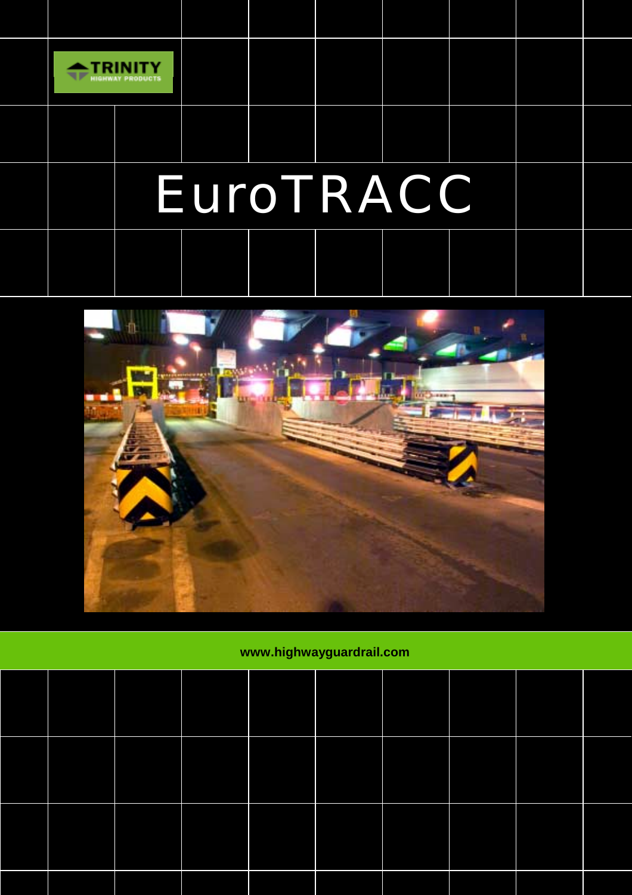

l

# EuroTRACC



## **www.highwayguardrail.com**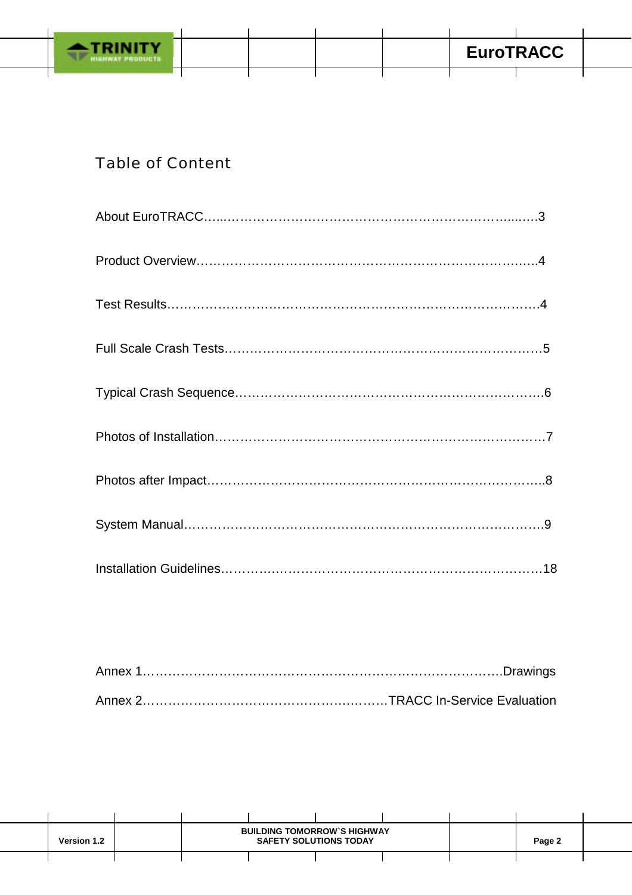

## Table of Content

| <b>Version 1.2</b> | <b>BUILDING TOMORROW'S HIGHWAY</b><br><b>SAFETY SOLUTIONS TODAY</b> |  |  |  | Page 2 |  |
|--------------------|---------------------------------------------------------------------|--|--|--|--------|--|
|                    |                                                                     |  |  |  |        |  |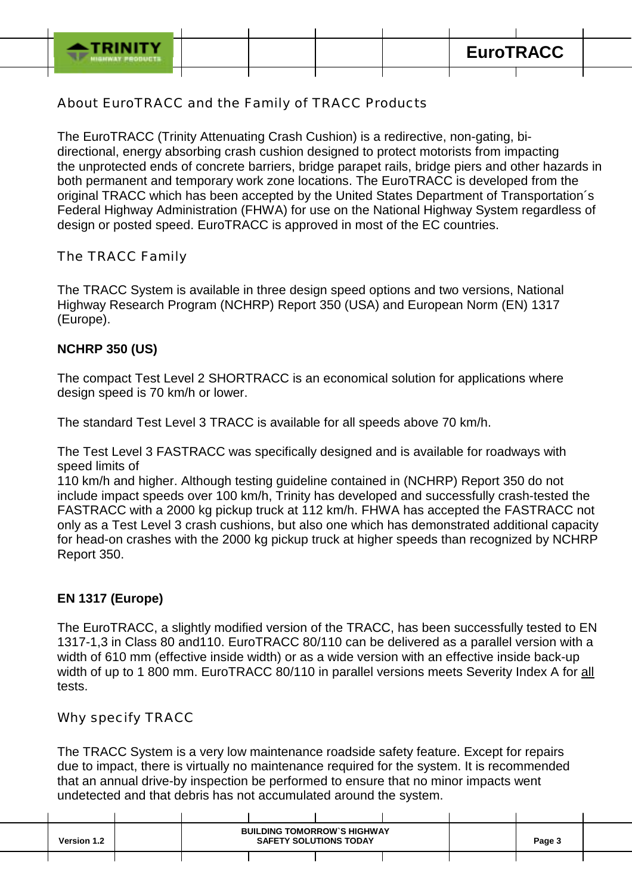About EuroTRACC and the Family of TRACC Products

The EuroTRACC (Trinity Attenuating Crash Cushion) is a redirective, non-gating, bidirectional, energy absorbing crash cushion designed to protect motorists from impacting the unprotected ends of concrete barriers, bridge parapet rails, bridge piers and other hazards in both permanent and temporary work zone locations. The EuroTRACC is developed from the original TRACC which has been accepted by the United States Department of Transportation´s Federal Highway Administration (FHWA) for use on the National Highway System regardless of design or posted speed. EuroTRACC is approved in most of the EC countries.

The TRACC Family

The TRACC System is available in three design speed options and two versions, National Highway Research Program (NCHRP) Report 350 (USA) and European Norm (EN) 1317 (Europe).

#### **NCHRP 350 (US)**

The compact Test Level 2 SHORTRACC is an economical solution for applications where design speed is 70 km/h or lower.

The standard Test Level 3 TRACC is available for all speeds above 70 km/h.

The Test Level 3 FASTRACC was specifically designed and is available for roadways with speed limits of

110 km/h and higher. Although testing guideline contained in (NCHRP) Report 350 do not include impact speeds over 100 km/h, Trinity has developed and successfully crash-tested the FASTRACC with a 2000 kg pickup truck at 112 km/h. FHWA has accepted the FASTRACC not only as a Test Level 3 crash cushions, but also one which has demonstrated additional capacity for head-on crashes with the 2000 kg pickup truck at higher speeds than recognized by NCHRP Report 350.

#### **EN 1317 (Europe)**

The EuroTRACC, a slightly modified version of the TRACC, has been successfully tested to EN 1317-1,3 in Class 80 and110. EuroTRACC 80/110 can be delivered as a parallel version with a width of 610 mm (effective inside width) or as a wide version with an effective inside back-up width of up to 1 800 mm. EuroTRACC 80/110 in parallel versions meets Severity Index A for all tests.

Why specify TRACC

The TRACC System is a very low maintenance roadside safety feature. Except for repairs due to impact, there is virtually no maintenance required for the system. It is recommended that an annual drive-by inspection be performed to ensure that no minor impacts went undetected and that debris has not accumulated around the system.

| <b>Version 1.2</b> |  | <b>BUILDING TOMORROW'S HIGHWAY</b><br><b>SAFETY SOLUTIONS TODAY</b> |  | Page 3 |  |
|--------------------|--|---------------------------------------------------------------------|--|--------|--|
|                    |  |                                                                     |  |        |  |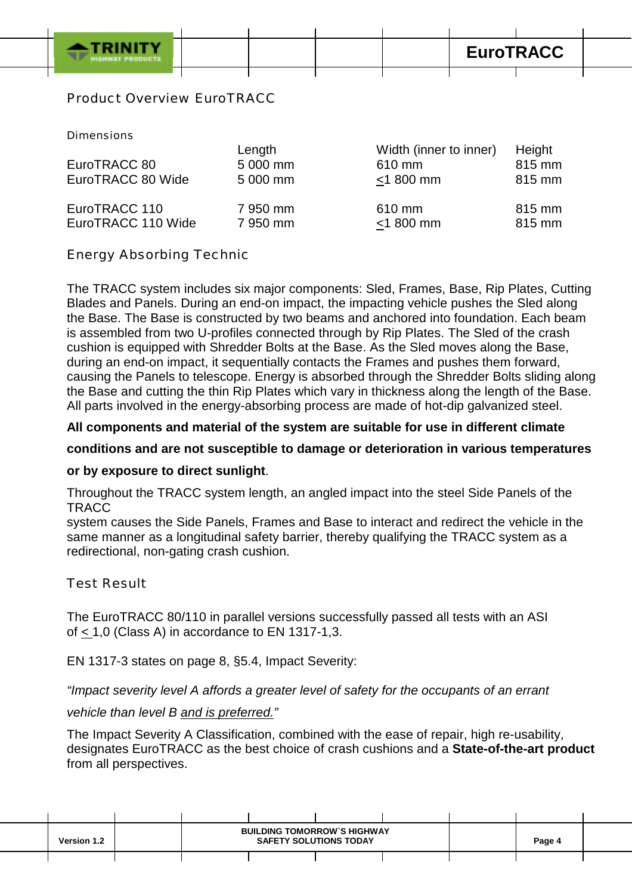**EuroTRACC** 

#### Product Overview EuroTRACC

#### Dimensions

| EuroTRACC 80<br>EuroTRACC 80 Wide | Length<br>5 000 mm<br>5 000 mm | Width (inner to inner)<br>610 mm<br>$<$ 1 800 mm | Height<br>815 mm<br>815 mm |
|-----------------------------------|--------------------------------|--------------------------------------------------|----------------------------|
| EuroTRACC 110                     | 7 950 mm                       | 610 mm                                           | 815 mm                     |
| EuroTRACC 110 Wide                | 7 950 mm                       | $<$ 1 800 mm                                     | 815 mm                     |

#### Energy Absorbing Technic

The TRACC system includes six major components: Sled, Frames, Base, Rip Plates, Cutting Blades and Panels. During an end-on impact, the impacting vehicle pushes the Sled along the Base. The Base is constructed by two beams and anchored into foundation. Each beam is assembled from two U-profiles connected through by Rip Plates. The Sled of the crash cushion is equipped with Shredder Bolts at the Base. As the Sled moves along the Base, during an end-on impact, it sequentially contacts the Frames and pushes them forward, causing the Panels to telescope. Energy is absorbed through the Shredder Bolts sliding along the Base and cutting the thin Rip Plates which vary in thickness along the length of the Base. All parts involved in the energy-absorbing process are made of hot-dip galvanized steel.

#### **All components and material of the system are suitable for use in different climate**

#### **conditions and are not susceptible to damage or deterioration in various temperatures**

#### **or by exposure to direct sunlight**.

 Throughout the TRACC system length, an angled impact into the steel Side Panels of the **TRACC** 

 system causes the Side Panels, Frames and Base to interact and redirect the vehicle in the same manner as a longitudinal safety barrier, thereby qualifying the TRACC system as a redirectional, non-gating crash cushion.

#### Test Result

The EuroTRACC 80/110 in parallel versions successfully passed all tests with an ASI of  $<$  1,0 (Class A) in accordance to EN 1317-1,3.

EN 1317-3 states on page 8, §5.4, Impact Severity:

#### *"Impact severity level A affords a greater level of safety for the occupants of an errant*

#### *vehicle than level B and is preferred."*

 The Impact Severity A Classification, combined with the ease of repair, high re-usability, designates EuroTRACC as the best choice of crash cushions and a **State-of-the-art product** from all perspectives.

| <b>Version 1.2</b> | <b>BUILDING TOMORROW'S HIGHWAY</b><br><b>SAFETY SOLUTIONS TODAY</b> |  |  |  | Page 4 |  |
|--------------------|---------------------------------------------------------------------|--|--|--|--------|--|
|                    |                                                                     |  |  |  |        |  |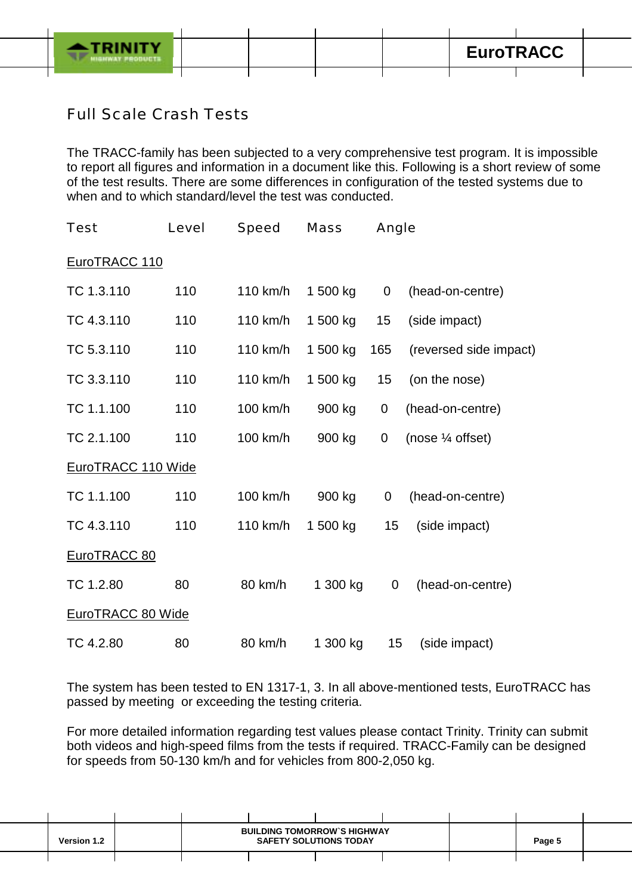

## Full Scale Crash Tests

The TRACC-family has been subjected to a very comprehensive test program. It is impossible to report all figures and information in a document like this. Following is a short review of some of the test results. There are some differences in configuration of the tested systems due to when and to which standard/level the test was conducted.

| <b>Test</b>        | Level | Speed    | <b>Mass</b> | Angle       |                             |
|--------------------|-------|----------|-------------|-------------|-----------------------------|
| EuroTRACC 110      |       |          |             |             |                             |
| TC 1.3.110         | 110   | 110 km/h | 1 500 kg    | $\mathbf 0$ | (head-on-centre)            |
| TC 4.3.110         | 110   | 110 km/h | 1 500 kg    | 15          | (side impact)               |
| TC 5.3.110         | 110   | 110 km/h | 1 500 kg    | 165         | (reversed side impact)      |
| TC 3.3.110         | 110   | 110 km/h | 1 500 kg    | 15          | (on the nose)               |
| TC 1.1.100         | 110   | 100 km/h | 900 kg      | $\mathbf 0$ | (head-on-centre)            |
| TC 2.1.100         | 110   | 100 km/h | 900 kg      | $\mathbf 0$ | (nose $\frac{1}{4}$ offset) |
| EuroTRACC 110 Wide |       |          |             |             |                             |
| TC 1.1.100         | 110   | 100 km/h | 900 kg      | 0           | (head-on-centre)            |
| TC 4.3.110         | 110   | 110 km/h | 1 500 kg    | 15          | (side impact)               |
| EuroTRACC 80       |       |          |             |             |                             |
| TC 1.2.80          | 80    | 80 km/h  | 1 300 kg    | 0           | (head-on-centre)            |
| EuroTRACC 80 Wide  |       |          |             |             |                             |
| TC 4.2.80          | 80    | 80 km/h  | 1 300 kg    | 15          | (side impact)               |

The system has been tested to EN 1317-1, 3. In all above-mentioned tests, EuroTRACC has passed by meeting or exceeding the testing criteria.

For more detailed information regarding test values please contact Trinity. Trinity can submit both videos and high-speed films from the tests if required. TRACC-Family can be designed for speeds from 50-130 km/h and for vehicles from 800-2,050 kg.

| <b>Version 1.2</b> |  | <b>BUILDING TOMORROW'S HIGHWAY</b><br><b>SAFETY SOLUTIONS TODAY</b> | Page 5 |  |  |
|--------------------|--|---------------------------------------------------------------------|--------|--|--|
|                    |  |                                                                     |        |  |  |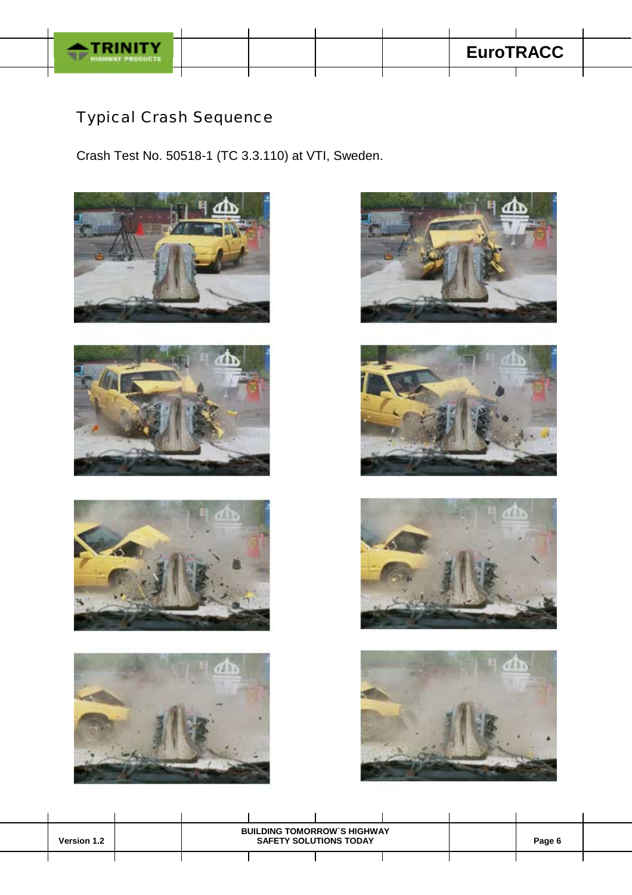

## Typical Crash Sequence

Crash Test No. 50518-1 (TC 3.3.110) at VTI, Sweden.

















| Version 1.2 |  | <b>BUILDING TOMORROW'S HIGHWAY</b><br><b>SAFETY SOLUTIONS TODAY</b> | Page 6 |  |  |
|-------------|--|---------------------------------------------------------------------|--------|--|--|
|             |  |                                                                     |        |  |  |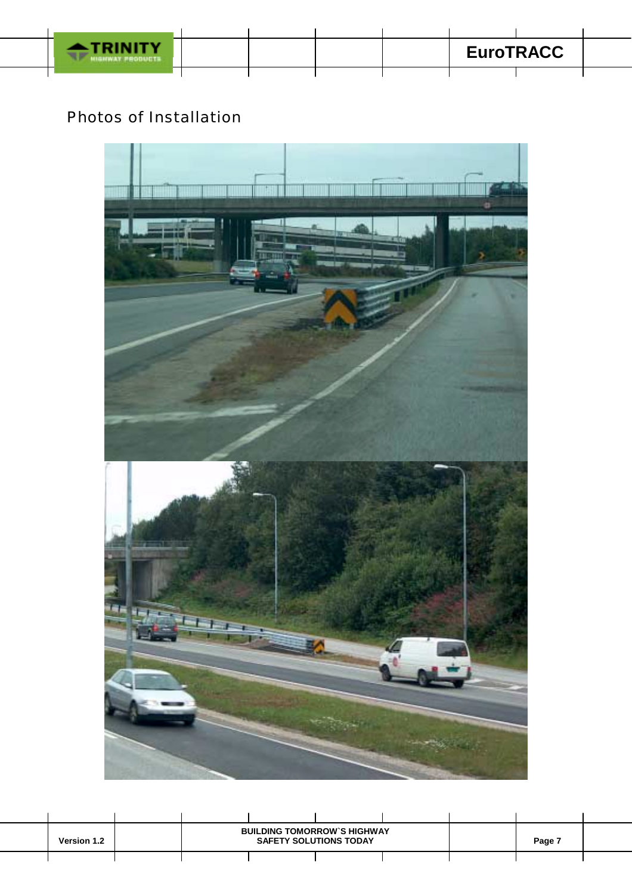

## Photos of Installation



| <b>Version 1.2</b> |  | <b>BUILDING TOMORROW'S HIGHWAY</b><br><b>SAFETY SOLUTIONS TODAY</b> | Page 7 |  |  |
|--------------------|--|---------------------------------------------------------------------|--------|--|--|
|                    |  |                                                                     |        |  |  |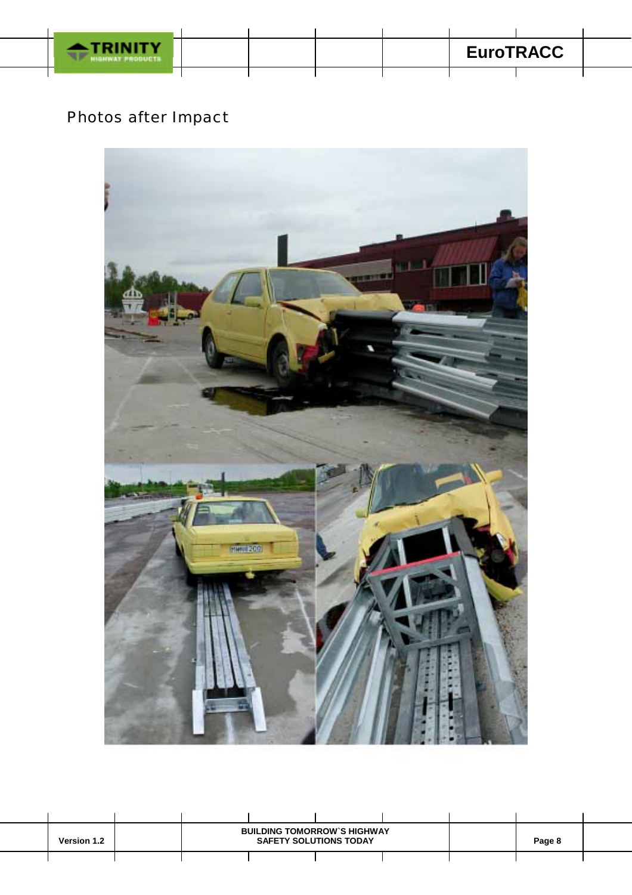

## Photos after Impact



| <b>Version 1.2</b> |  | <b>BUILDING TOMORROW'S HIGHWAY</b><br><b>SAFETY SOLUTIONS TODAY</b> | Page 8 |  |  |
|--------------------|--|---------------------------------------------------------------------|--------|--|--|
|                    |  |                                                                     |        |  |  |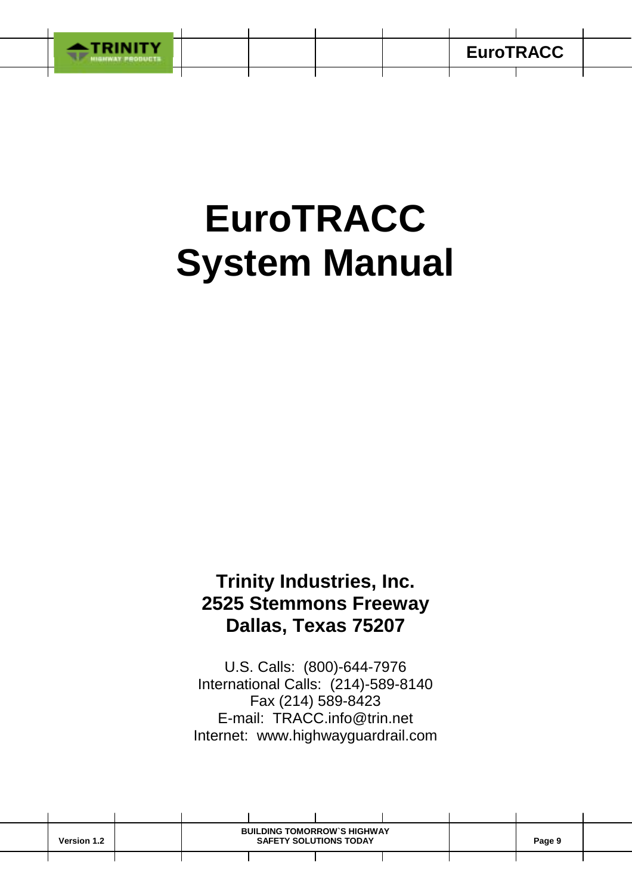

# **EuroTRACC System Manual**

## **Trinity Industries, Inc. 2525 Stemmons Freeway Dallas, Texas 75207**

U.S. Calls: (800)-644-7976 International Calls: (214)-589-8140 Fax (214) 589-8423 E-mail: TRACC.info@trin.net Internet: www.highwayguardrail.com

| <b>Version 1.2</b> | <b>BUILDING TOMORROW'S HIGHWAY</b><br><b>SAFETY SOLUTIONS TODAY</b> |  |  |  | Page 9 |  |
|--------------------|---------------------------------------------------------------------|--|--|--|--------|--|
|                    |                                                                     |  |  |  |        |  |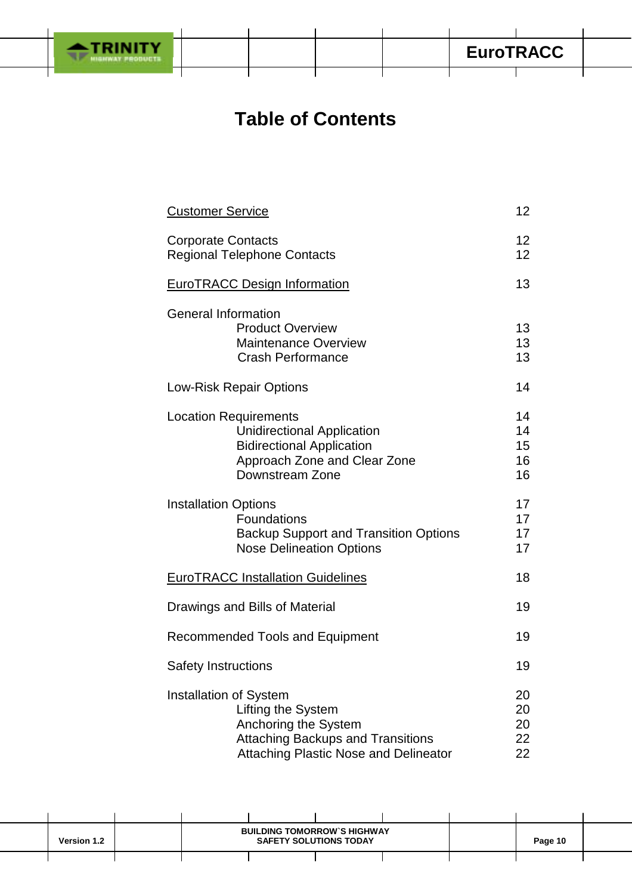

## **Table of Contents**

| <b>Customer Service</b>                                                                                                                                                 |                            |  |  |  |  |  |
|-------------------------------------------------------------------------------------------------------------------------------------------------------------------------|----------------------------|--|--|--|--|--|
| <b>Corporate Contacts</b><br><b>Regional Telephone Contacts</b>                                                                                                         | 12<br>12 <sup>2</sup>      |  |  |  |  |  |
| <b>EuroTRACC Design Information</b>                                                                                                                                     |                            |  |  |  |  |  |
| <b>General Information</b><br><b>Product Overview</b><br><b>Maintenance Overview</b><br><b>Crash Performance</b>                                                        | 13<br>13<br>13             |  |  |  |  |  |
| Low-Risk Repair Options                                                                                                                                                 |                            |  |  |  |  |  |
| <b>Location Requirements</b><br><b>Unidirectional Application</b><br><b>Bidirectional Application</b><br>Approach Zone and Clear Zone<br>Downstream Zone                | 14<br>14<br>15<br>16<br>16 |  |  |  |  |  |
| <b>Installation Options</b><br>Foundations<br><b>Backup Support and Transition Options</b><br><b>Nose Delineation Options</b>                                           | 17<br>17<br>17<br>17       |  |  |  |  |  |
| <b>EuroTRACC Installation Guidelines</b>                                                                                                                                | 18                         |  |  |  |  |  |
| Drawings and Bills of Material                                                                                                                                          | 19                         |  |  |  |  |  |
| <b>Recommended Tools and Equipment</b>                                                                                                                                  | 19                         |  |  |  |  |  |
| <b>Safety Instructions</b>                                                                                                                                              | 19                         |  |  |  |  |  |
| <b>Installation of System</b><br>Lifting the System<br>Anchoring the System<br><b>Attaching Backups and Transitions</b><br><b>Attaching Plastic Nose and Delineator</b> | 20<br>20<br>20<br>22<br>22 |  |  |  |  |  |

| <b>Version 1.2</b> | <b>BUILDING TOMORROW'S HIGHWAY</b><br><b>SAFETY SOLUTIONS TODAY</b> |  |  |  | Page 10 |  |
|--------------------|---------------------------------------------------------------------|--|--|--|---------|--|
|                    |                                                                     |  |  |  |         |  |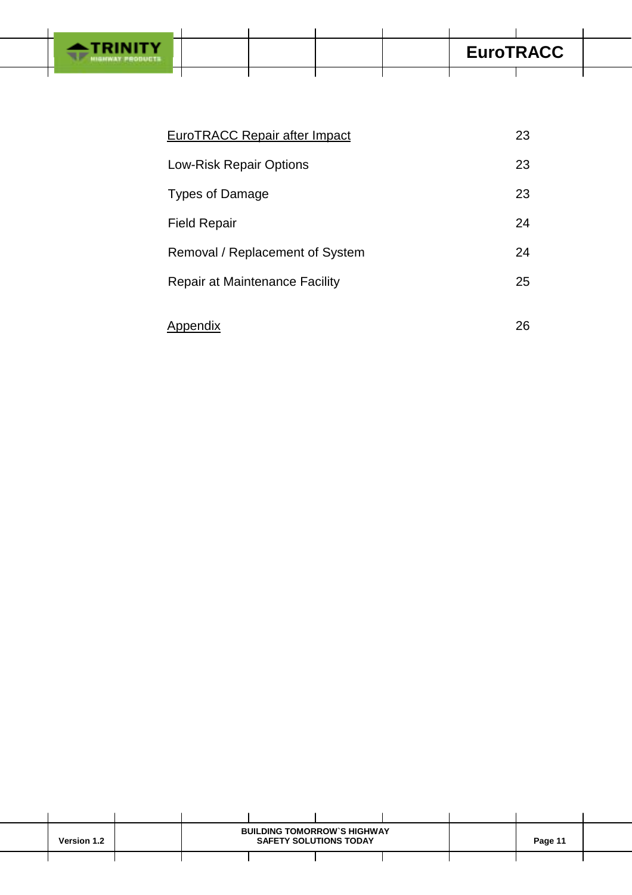

| <b>EuroTRACC Repair after Impact</b>  | 23 |
|---------------------------------------|----|
| <b>Low-Risk Repair Options</b>        | 23 |
| <b>Types of Damage</b>                | 23 |
| <b>Field Repair</b>                   | 24 |
| Removal / Replacement of System       | 24 |
| <b>Repair at Maintenance Facility</b> | 25 |
| Appendix                              | 26 |

| <b>Version 1.2</b> |  | <b>BUILDING TOMORROW'S HIGHWAY</b><br><b>SAFETY SOLUTIONS TODAY</b> |  |  |  | Page 11 |  |
|--------------------|--|---------------------------------------------------------------------|--|--|--|---------|--|
|                    |  |                                                                     |  |  |  |         |  |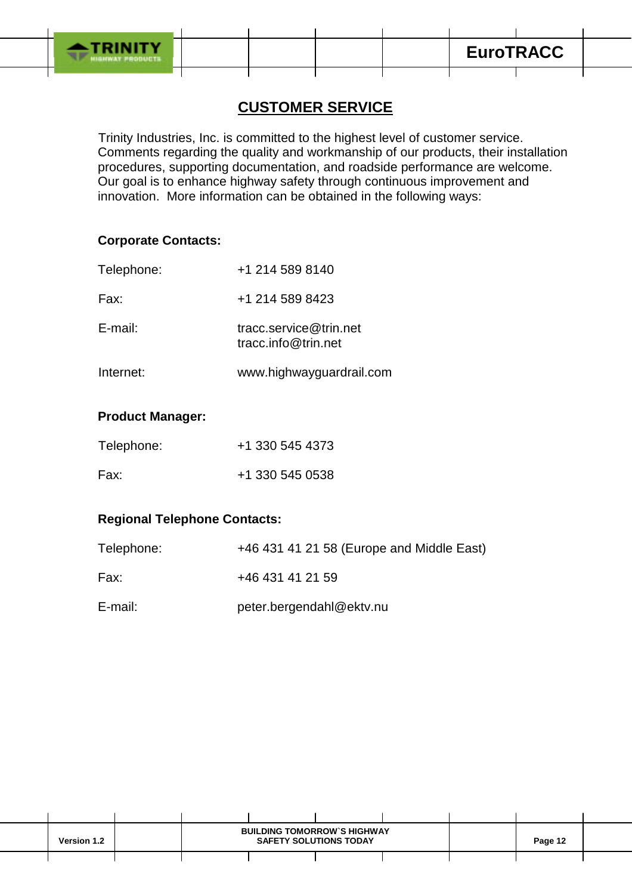

## **CUSTOMER SERVICE**

 Trinity Industries, Inc. is committed to the highest level of customer service. Comments regarding the quality and workmanship of our products, their installation procedures, supporting documentation, and roadside performance are welcome. Our goal is to enhance highway safety through continuous improvement and innovation. More information can be obtained in the following ways:

#### **Corporate Contacts:**

| Telephone: | +1 214 589 8140                               |
|------------|-----------------------------------------------|
| Fax:       | +1 214 589 8423                               |
| E-mail:    | tracc.service@trin.net<br>tracc.info@trin.net |
| Internet:  | www.highwayguardrail.com                      |

#### **Product Manager:**

| Telephone: | +1 330 545 4373 |
|------------|-----------------|
| Fax:       | +1 330 545 0538 |

#### **Regional Telephone Contacts:**

| Telephone: | +46 431 41 21 58 (Europe and Middle East) |
|------------|-------------------------------------------|
| Fax:       | +46 431 41 21 59                          |
| E-mail:    | peter.bergendahl@ektv.nu                  |

| <b>Version 1.2</b> |  | <b>BUILDING TOMORROW'S HIGHWAY</b><br><b>SAFETY SOLUTIONS TODAY</b> |  |  |  | Page 12 |  |
|--------------------|--|---------------------------------------------------------------------|--|--|--|---------|--|
|                    |  |                                                                     |  |  |  |         |  |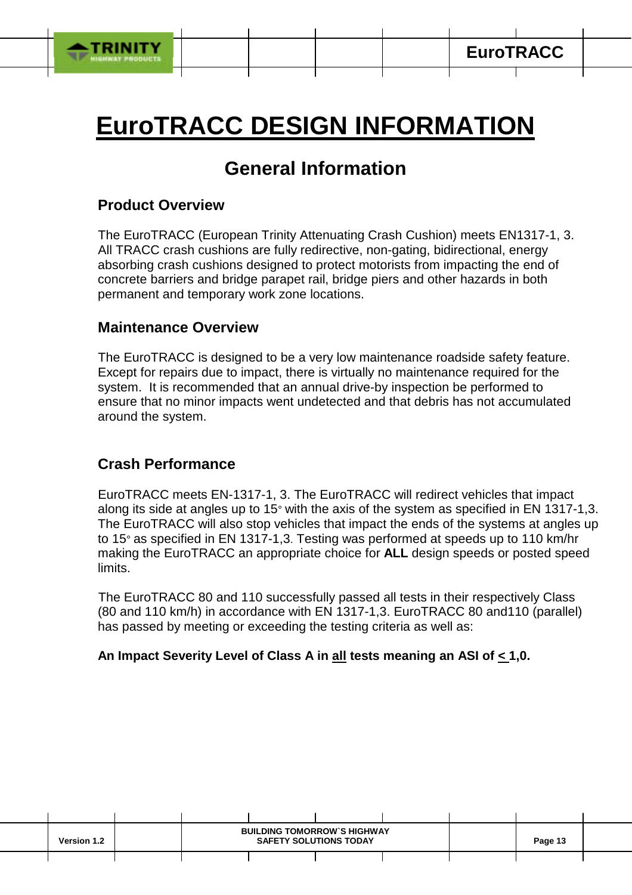

# **EuroTRACC DESIGN INFORMATION**

## **General Information**

#### **Product Overview**

The EuroTRACC (European Trinity Attenuating Crash Cushion) meets EN1317-1, 3. All TRACC crash cushions are fully redirective, non-gating, bidirectional, energy absorbing crash cushions designed to protect motorists from impacting the end of concrete barriers and bridge parapet rail, bridge piers and other hazards in both permanent and temporary work zone locations.

#### **Maintenance Overview**

The EuroTRACC is designed to be a very low maintenance roadside safety feature. Except for repairs due to impact, there is virtually no maintenance required for the system. It is recommended that an annual drive-by inspection be performed to ensure that no minor impacts went undetected and that debris has not accumulated around the system.

### **Crash Performance**

EuroTRACC meets EN-1317-1, 3. The EuroTRACC will redirect vehicles that impact along its side at angles up to 15° with the axis of the system as specified in EN 1317-1,3. The EuroTRACC will also stop vehicles that impact the ends of the systems at angles up to 15° as specified in EN 1317-1,3. Testing was performed at speeds up to 110 km/hr making the EuroTRACC an appropriate choice for **ALL** design speeds or posted speed limits.

 The EuroTRACC 80 and 110 successfully passed all tests in their respectively Class (80 and 110 km/h) in accordance with EN 1317-1,3. EuroTRACC 80 and110 (parallel) has passed by meeting or exceeding the testing criteria as well as:

#### **An Impact Severity Level of Class A in all tests meaning an ASI of < 1,0.**

| <b>Version 1.2</b> |  | <b>BUILDING TOMORROW'S HIGHWAY</b><br><b>SAFETY SOLUTIONS TODAY</b> |  | Page 13 |  |
|--------------------|--|---------------------------------------------------------------------|--|---------|--|
|                    |  |                                                                     |  |         |  |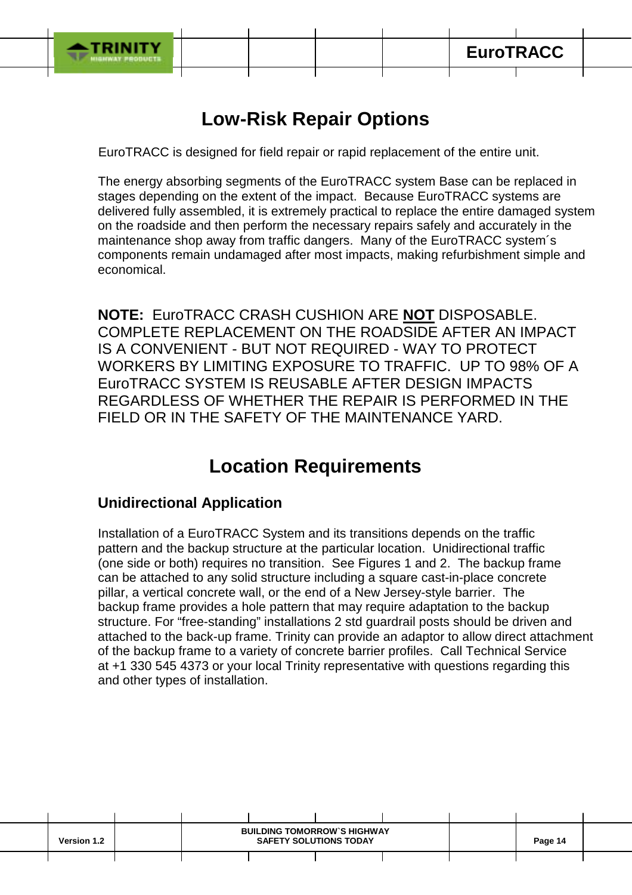

ī

## **Low-Risk Repair Options**

EuroTRACC is designed for field repair or rapid replacement of the entire unit.

The energy absorbing segments of the EuroTRACC system Base can be replaced in stages depending on the extent of the impact. Because EuroTRACC systems are delivered fully assembled, it is extremely practical to replace the entire damaged system on the roadside and then perform the necessary repairs safely and accurately in the maintenance shop away from traffic dangers. Many of the EuroTRACC system´s components remain undamaged after most impacts, making refurbishment simple and economical.

**NOTE:** EuroTRACC CRASH CUSHION ARE **NOT** DISPOSABLE. COMPLETE REPLACEMENT ON THE ROADSIDE AFTER AN IMPACT IS A CONVENIENT - BUT NOT REQUIRED - WAY TO PROTECT WORKERS BY LIMITING EXPOSURE TO TRAFFIC. UP TO 98% OF A EuroTRACC SYSTEM IS REUSABLE AFTER DESIGN IMPACTS REGARDLESS OF WHETHER THE REPAIR IS PERFORMED IN THE FIELD OR IN THE SAFETY OF THE MAINTENANCE YARD.

## **Location Requirements**

## **Unidirectional Application**

Installation of a EuroTRACC System and its transitions depends on the traffic pattern and the backup structure at the particular location. Unidirectional traffic (one side or both) requires no transition. See Figures 1 and 2. The backup frame can be attached to any solid structure including a square cast-in-place concrete pillar, a vertical concrete wall, or the end of a New Jersey-style barrier. The backup frame provides a hole pattern that may require adaptation to the backup structure. For "free-standing" installations 2 std guardrail posts should be driven and attached to the back-up frame. Trinity can provide an adaptor to allow direct attachment of the backup frame to a variety of concrete barrier profiles. Call Technical Service at +1 330 545 4373 or your local Trinity representative with questions regarding this and other types of installation.

| <b>Version 1.2</b> | <b>BUILDING TOMORROW'S HIGHWAY</b><br><b>SAFETY SOLUTIONS TODAY</b> |  |  |  | Page 14 |  |
|--------------------|---------------------------------------------------------------------|--|--|--|---------|--|
|                    |                                                                     |  |  |  |         |  |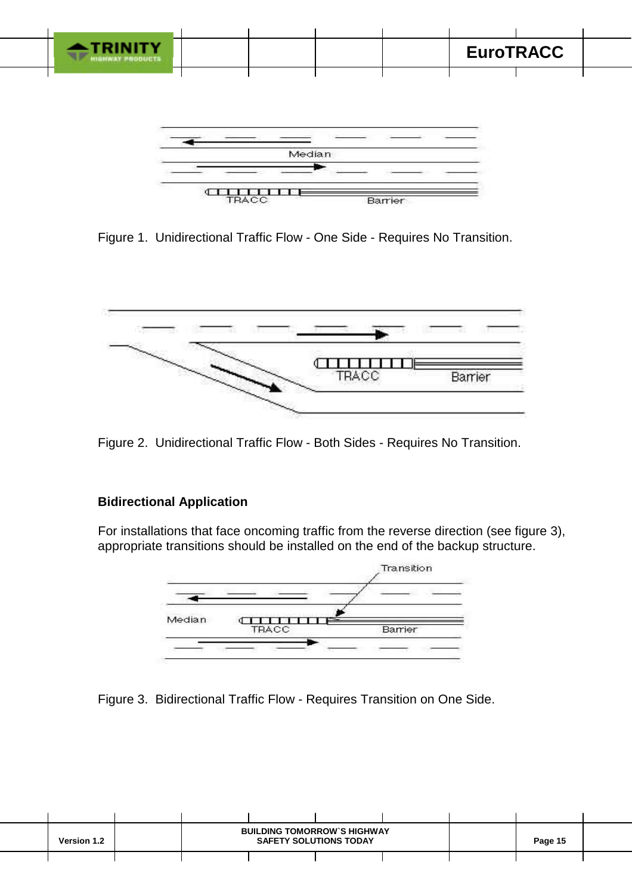

Barrier

Figure 1. Unidirectional Traffic Flow - One Side - Requires No Transition.

**TRA** 



Figure 2. Unidirectional Traffic Flow - Both Sides - Requires No Transition.

#### **Bidirectional Application**

For installations that face oncoming traffic from the reverse direction (see figure 3), appropriate transitions should be installed on the end of the backup structure.



Figure 3. Bidirectional Traffic Flow - Requires Transition on One Side.

| <b>Version 1.2</b> |  | <b>BUILDING TOMORROW'S HIGHWAY</b><br><b>SAFETY SOLUTIONS TODAY</b> |  |  | Page 15 |  |
|--------------------|--|---------------------------------------------------------------------|--|--|---------|--|
|                    |  |                                                                     |  |  |         |  |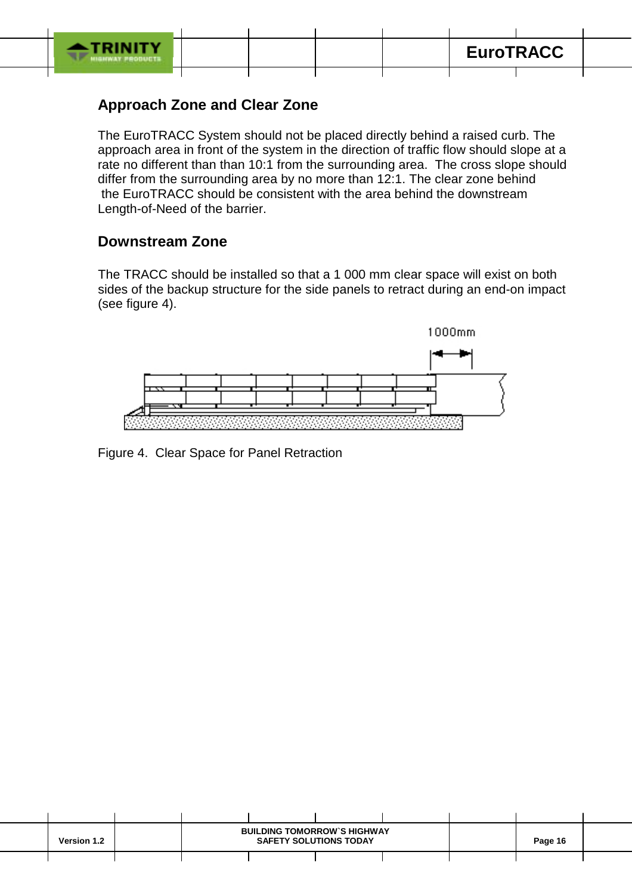

## **Approach Zone and Clear Zone**

The EuroTRACC System should not be placed directly behind a raised curb. The approach area in front of the system in the direction of traffic flow should slope at a rate no different than than 10:1 from the surrounding area. The cross slope should differ from the surrounding area by no more than 12:1. The clear zone behind the EuroTRACC should be consistent with the area behind the downstream Length-of-Need of the barrier.

### **Downstream Zone**

The TRACC should be installed so that a 1 000 mm clear space will exist on both sides of the backup structure for the side panels to retract during an end-on impact (see figure 4).



Figure 4. Clear Space for Panel Retraction

| <b>Version 1.2</b> | <b>BUILDING TOMORROW'S HIGHWAY</b><br><b>SAFETY SOLUTIONS TODAY</b> |  |  |  | Page 16 |  |
|--------------------|---------------------------------------------------------------------|--|--|--|---------|--|
|                    |                                                                     |  |  |  |         |  |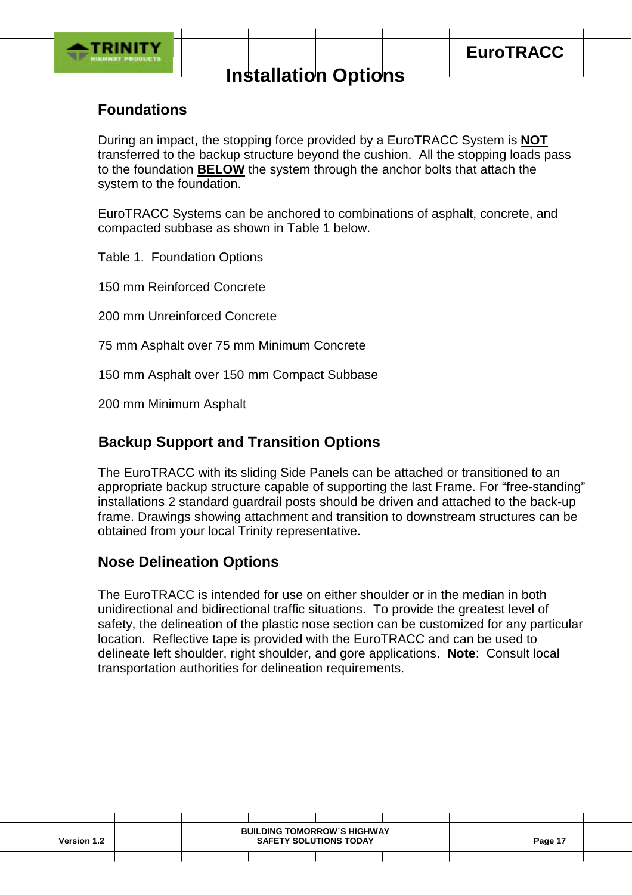

## **Installation Options**

## **Foundations**

During an impact, the stopping force provided by a EuroTRACC System is **NOT** transferred to the backup structure beyond the cushion. All the stopping loads pass to the foundation **BELOW** the system through the anchor bolts that attach the system to the foundation.

EuroTRACC Systems can be anchored to combinations of asphalt, concrete, and compacted subbase as shown in Table 1 below.

Table 1. Foundation Options

150 mm Reinforced Concrete

200 mm Unreinforced Concrete

75 mm Asphalt over 75 mm Minimum Concrete

150 mm Asphalt over 150 mm Compact Subbase

200 mm Minimum Asphalt

## **Backup Support and Transition Options**

The EuroTRACC with its sliding Side Panels can be attached or transitioned to an appropriate backup structure capable of supporting the last Frame. For "free-standing" installations 2 standard guardrail posts should be driven and attached to the back-up frame. Drawings showing attachment and transition to downstream structures can be obtained from your local Trinity representative.

#### **Nose Delineation Options**

The EuroTRACC is intended for use on either shoulder or in the median in both unidirectional and bidirectional traffic situations. To provide the greatest level of safety, the delineation of the plastic nose section can be customized for any particular location. Reflective tape is provided with the EuroTRACC and can be used to delineate left shoulder, right shoulder, and gore applications. **Note**: Consult local transportation authorities for delineation requirements.

| Version 1.2 |  | <b>BUILDING TOMORROW'S HIGHWAY</b><br><b>SAFETY SOLUTIONS TODAY</b> |  | Page 17 |  |
|-------------|--|---------------------------------------------------------------------|--|---------|--|
|             |  |                                                                     |  |         |  |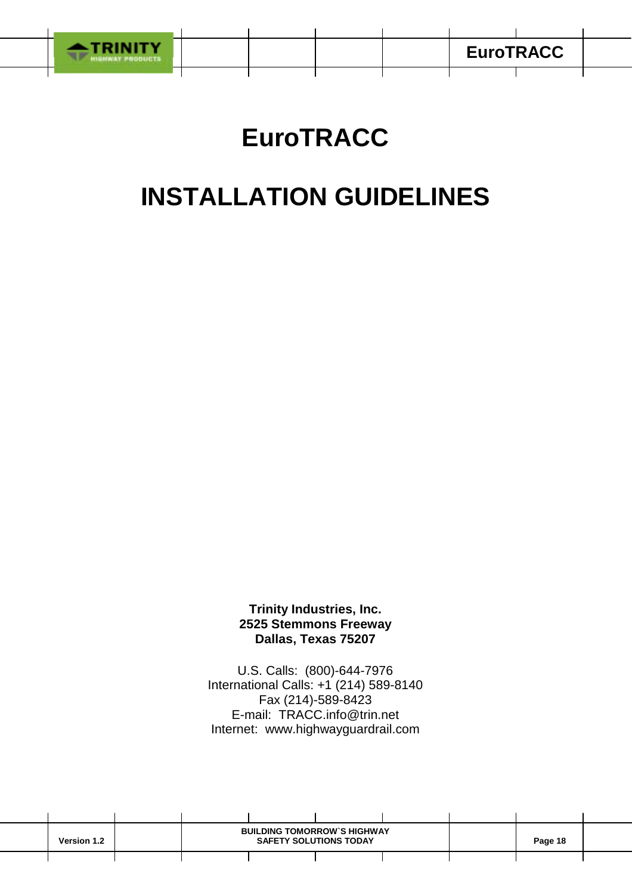

# **EuroTRACC**

## **INSTALLATION GUIDELINES**

**Trinity Industries, Inc. 2525 Stemmons Freeway Dallas, Texas 75207**

U.S. Calls: (800)-644-7976 International Calls: +1 (214) 589-8140 Fax (214)-589-8423 E-mail: TRACC.info@trin.net Internet: www.highwayguardrail.com

| <b>Version 1.2</b> |  | <b>BUILDING TOMORROW'S HIGHWAY</b><br><b>SAFETY SOLUTIONS TODAY</b> |  |  |  | Page 18 |  |
|--------------------|--|---------------------------------------------------------------------|--|--|--|---------|--|
|                    |  |                                                                     |  |  |  |         |  |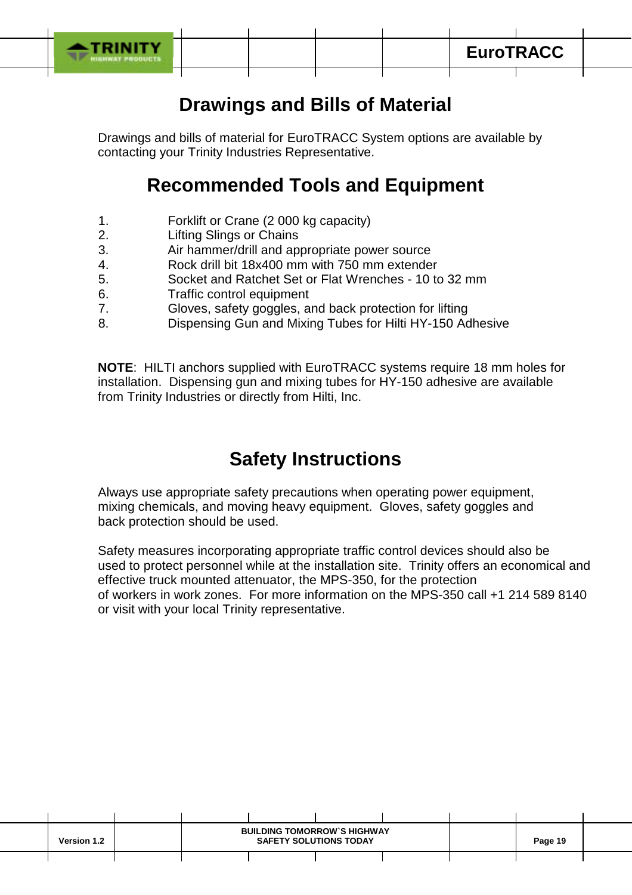

## **Drawings and Bills of Material**

Drawings and bills of material for EuroTRACC System options are available by contacting your Trinity Industries Representative.

## **Recommended Tools and Equipment**

- 1. Forklift or Crane (2 000 kg capacity)
- 2. Lifting Slings or Chains
- 3. Air hammer/drill and appropriate power source
- 4. Rock drill bit 18x400 mm with 750 mm extender
- 5. Socket and Ratchet Set or Flat Wrenches 10 to 32 mm
- 6. Traffic control equipment
- 7. Gloves, safety goggles, and back protection for lifting
- 8. Dispensing Gun and Mixing Tubes for Hilti HY-150 Adhesive

**NOTE**: HILTI anchors supplied with EuroTRACC systems require 18 mm holes for installation. Dispensing gun and mixing tubes for HY-150 adhesive are available from Trinity Industries or directly from Hilti, Inc.

## **Safety Instructions**

Always use appropriate safety precautions when operating power equipment, mixing chemicals, and moving heavy equipment. Gloves, safety goggles and back protection should be used.

Safety measures incorporating appropriate traffic control devices should also be used to protect personnel while at the installation site. Trinity offers an economical and effective truck mounted attenuator, the MPS-350, for the protection of workers in work zones. For more information on the MPS-350 call +1 214 589 8140 or visit with your local Trinity representative.

| <b>Version 1.2</b> |  | <b>BUILDING TOMORROW'S HIGHWAY</b><br><b>SAFETY SOLUTIONS TODAY</b> |  |  |  | Page 19 |  |
|--------------------|--|---------------------------------------------------------------------|--|--|--|---------|--|
|                    |  |                                                                     |  |  |  |         |  |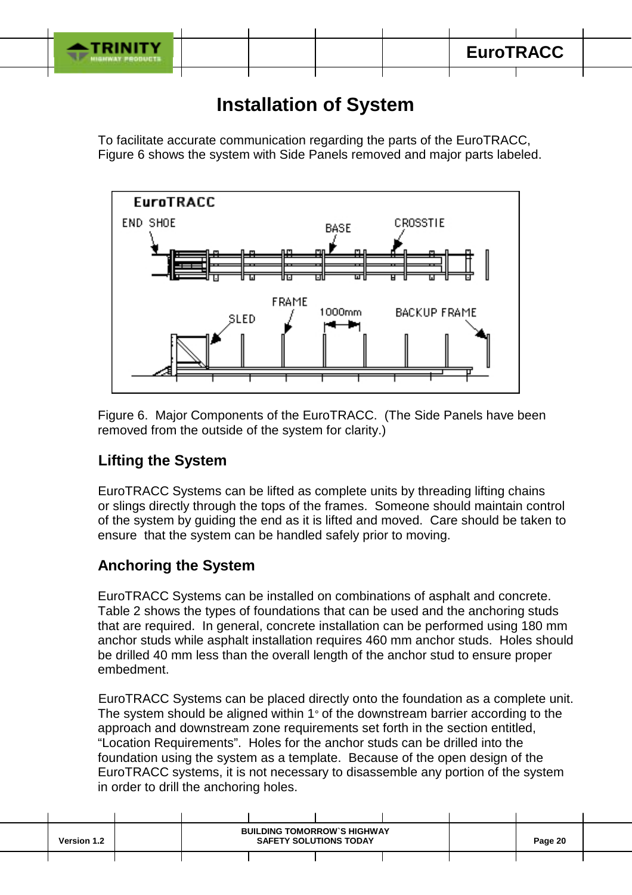

## **Installation of System**

To facilitate accurate communication regarding the parts of the EuroTRACC, Figure 6 shows the system with Side Panels removed and major parts labeled.



Figure 6. Major Components of the EuroTRACC. (The Side Panels have been removed from the outside of the system for clarity.)

## **Lifting the System**

EuroTRACC Systems can be lifted as complete units by threading lifting chains or slings directly through the tops of the frames. Someone should maintain control of the system by guiding the end as it is lifted and moved. Care should be taken to ensure that the system can be handled safely prior to moving.

## **Anchoring the System**

EuroTRACC Systems can be installed on combinations of asphalt and concrete. Table 2 shows the types of foundations that can be used and the anchoring studs that are required. In general, concrete installation can be performed using 180 mm anchor studs while asphalt installation requires 460 mm anchor studs. Holes should be drilled 40 mm less than the overall length of the anchor stud to ensure proper embedment.

 EuroTRACC Systems can be placed directly onto the foundation as a complete unit. The system should be aligned within 1° of the downstream barrier according to the approach and downstream zone requirements set forth in the section entitled, "Location Requirements". Holes for the anchor studs can be drilled into the foundation using the system as a template. Because of the open design of the EuroTRACC systems, it is not necessary to disassemble any portion of the system in order to drill the anchoring holes.

| <b>Version 1.2</b> | <b>BUILDING TOMORROW'S HIGHWAY</b><br><b>SAFETY SOLUTIONS TODAY</b> |  |  |  | Page 20 |  |
|--------------------|---------------------------------------------------------------------|--|--|--|---------|--|
|                    |                                                                     |  |  |  |         |  |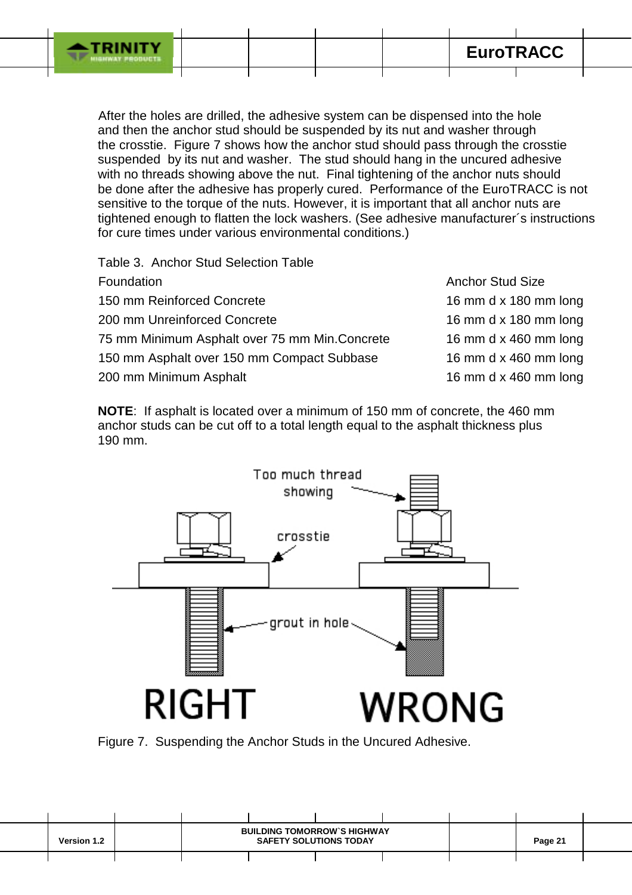

 After the holes are drilled, the adhesive system can be dispensed into the hole and then the anchor stud should be suspended by its nut and washer through the crosstie. Figure 7 shows how the anchor stud should pass through the crosstie suspended by its nut and washer. The stud should hang in the uncured adhesive with no threads showing above the nut. Final tightening of the anchor nuts should be done after the adhesive has properly cured. Performance of the EuroTRACC is not sensitive to the torque of the nuts. However, it is important that all anchor nuts are tightened enough to flatten the lock washers. (See adhesive manufacturer´s instructions for cure times under various environmental conditions.)

Table 3. Anchor Stud Selection Table

| Foundation                                    | <b>Anchor Stud Size</b> |
|-----------------------------------------------|-------------------------|
| 150 mm Reinforced Concrete                    | 16 mm d x 180 mm long   |
| 200 mm Unreinforced Concrete                  | 16 mm d x 180 mm long   |
| 75 mm Minimum Asphalt over 75 mm Min.Concrete | 16 mm d x 460 mm long   |
| 150 mm Asphalt over 150 mm Compact Subbase    | 16 mm d x 460 mm long   |
| 200 mm Minimum Asphalt                        | 16 mm d x 460 mm long   |
|                                               |                         |

**NOTE**: If asphalt is located over a minimum of 150 mm of concrete, the 460 mm anchor studs can be cut off to a total length equal to the asphalt thickness plus 190 mm.



Figure 7. Suspending the Anchor Studs in the Uncured Adhesive.

| <b>Version 1.2</b> | <b>BUILDING TOMORROW'S HIGHWAY</b><br><b>SAFETY SOLUTIONS TODAY</b> |  |  |  | Page 21 |  |
|--------------------|---------------------------------------------------------------------|--|--|--|---------|--|
|                    |                                                                     |  |  |  |         |  |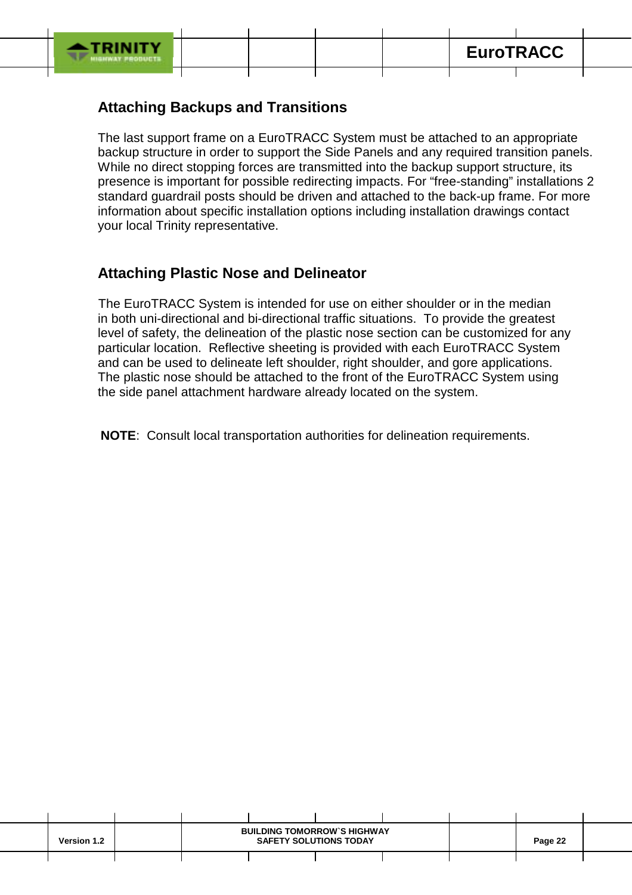

## **Attaching Backups and Transitions**

The last support frame on a EuroTRACC System must be attached to an appropriate backup structure in order to support the Side Panels and any required transition panels. While no direct stopping forces are transmitted into the backup support structure, its presence is important for possible redirecting impacts. For "free-standing" installations 2 standard guardrail posts should be driven and attached to the back-up frame. For more information about specific installation options including installation drawings contact your local Trinity representative.

## **Attaching Plastic Nose and Delineator**

 The EuroTRACC System is intended for use on either shoulder or in the median in both uni-directional and bi-directional traffic situations. To provide the greatest level of safety, the delineation of the plastic nose section can be customized for any particular location. Reflective sheeting is provided with each EuroTRACC System and can be used to delineate left shoulder, right shoulder, and gore applications. The plastic nose should be attached to the front of the EuroTRACC System using the side panel attachment hardware already located on the system.

**NOTE**: Consult local transportation authorities for delineation requirements.

| <b>Version 1.2</b> | <b>BUILDING TOMORROW'S HIGHWAY</b><br><b>SAFETY SOLUTIONS TODAY</b> |  |  |  | Page 22 |  |
|--------------------|---------------------------------------------------------------------|--|--|--|---------|--|
|                    |                                                                     |  |  |  |         |  |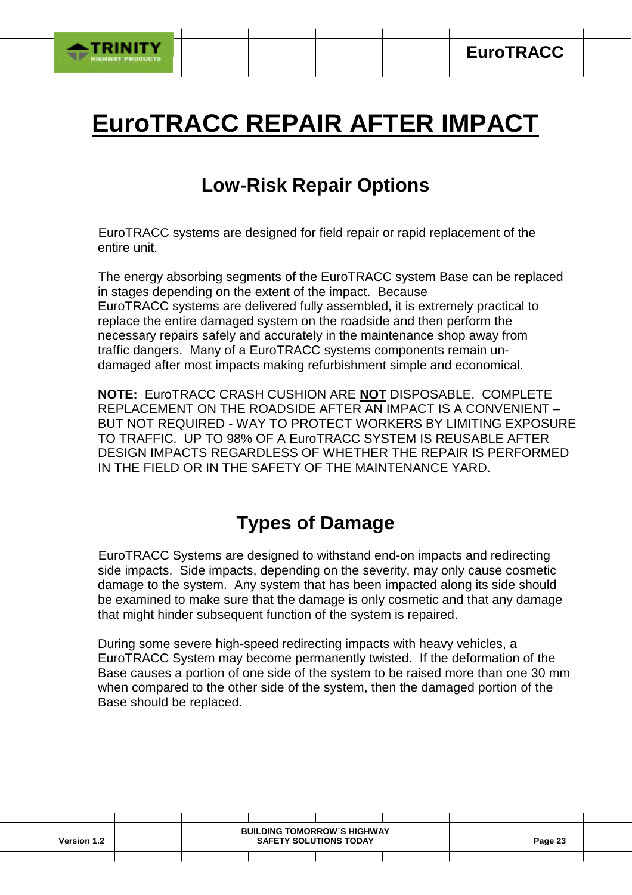

# **EuroTRACC REPAIR AFTER IMPACT**

## **Low-Risk Repair Options**

EuroTRACC systems are designed for field repair or rapid replacement of the entire unit.

 The energy absorbing segments of the EuroTRACC system Base can be replaced in stages depending on the extent of the impact. Because EuroTRACC systems are delivered fully assembled, it is extremely practical to replace the entire damaged system on the roadside and then perform the necessary repairs safely and accurately in the maintenance shop away from traffic dangers. Many of a EuroTRACC systems components remain undamaged after most impacts making refurbishment simple and economical.

**NOTE:** EuroTRACC CRASH CUSHION ARE **NOT** DISPOSABLE. COMPLETE REPLACEMENT ON THE ROADSIDE AFTER AN IMPACT IS A CONVENIENT – BUT NOT REQUIRED - WAY TO PROTECT WORKERS BY LIMITING EXPOSURE TO TRAFFIC. UP TO 98% OF A EuroTRACC SYSTEM IS REUSABLE AFTER DESIGN IMPACTS REGARDLESS OF WHETHER THE REPAIR IS PERFORMED IN THE FIELD OR IN THE SAFETY OF THE MAINTENANCE YARD.

## **Types of Damage**

 EuroTRACC Systems are designed to withstand end-on impacts and redirecting side impacts. Side impacts, depending on the severity, may only cause cosmetic damage to the system. Any system that has been impacted along its side should be examined to make sure that the damage is only cosmetic and that any damage that might hinder subsequent function of the system is repaired.

During some severe high-speed redirecting impacts with heavy vehicles, a EuroTRACC System may become permanently twisted. If the deformation of the Base causes a portion of one side of the system to be raised more than one 30 mm when compared to the other side of the system, then the damaged portion of the Base should be replaced.

| <b>Version 1.2</b> | <b>BUILDING TOMORROW'S HIGHWAY</b><br><b>SAFETY SOLUTIONS TODAY</b> |  |  |  | Page 23 |  |
|--------------------|---------------------------------------------------------------------|--|--|--|---------|--|
|                    |                                                                     |  |  |  |         |  |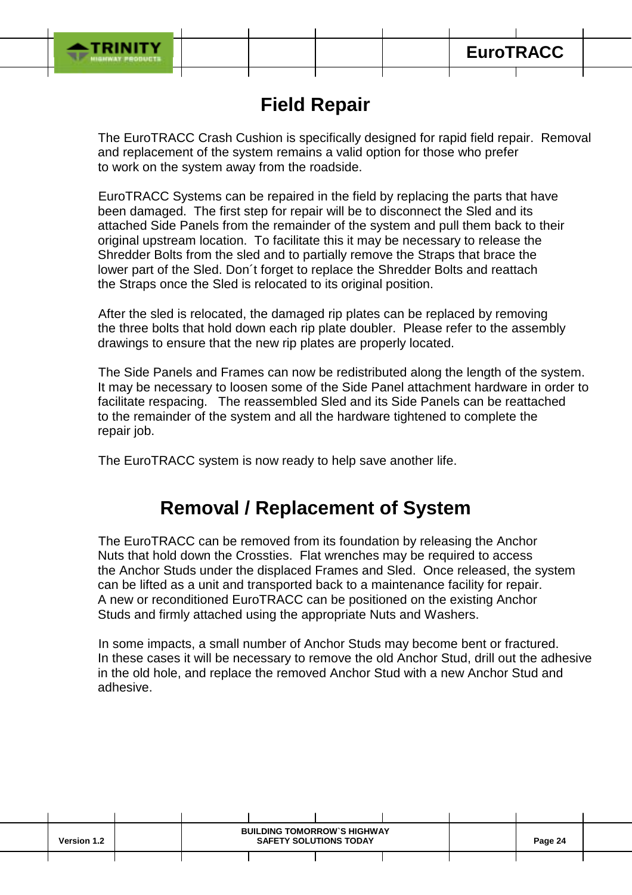

## **Field Repair**

The EuroTRACC Crash Cushion is specifically designed for rapid field repair. Removal and replacement of the system remains a valid option for those who prefer to work on the system away from the roadside.

 EuroTRACC Systems can be repaired in the field by replacing the parts that have been damaged. The first step for repair will be to disconnect the Sled and its attached Side Panels from the remainder of the system and pull them back to their original upstream location. To facilitate this it may be necessary to release the Shredder Bolts from the sled and to partially remove the Straps that brace the lower part of the Sled. Don´t forget to replace the Shredder Bolts and reattach the Straps once the Sled is relocated to its original position.

 After the sled is relocated, the damaged rip plates can be replaced by removing the three bolts that hold down each rip plate doubler. Please refer to the assembly drawings to ensure that the new rip plates are properly located.

 The Side Panels and Frames can now be redistributed along the length of the system. It may be necessary to loosen some of the Side Panel attachment hardware in order to facilitate respacing. The reassembled Sled and its Side Panels can be reattached to the remainder of the system and all the hardware tightened to complete the repair job.

The EuroTRACC system is now ready to help save another life.

## **Removal / Replacement of System**

The EuroTRACC can be removed from its foundation by releasing the Anchor Nuts that hold down the Crossties. Flat wrenches may be required to access the Anchor Studs under the displaced Frames and Sled. Once released, the system can be lifted as a unit and transported back to a maintenance facility for repair. A new or reconditioned EuroTRACC can be positioned on the existing Anchor Studs and firmly attached using the appropriate Nuts and Washers.

 In some impacts, a small number of Anchor Studs may become bent or fractured. In these cases it will be necessary to remove the old Anchor Stud, drill out the adhesive in the old hole, and replace the removed Anchor Stud with a new Anchor Stud and adhesive.

| <b>Version 1.2</b> | <b>BUILDING TOMORROW'S HIGHWAY</b><br><b>SAFETY SOLUTIONS TODAY</b> |  |  |  | Page 24 |  |
|--------------------|---------------------------------------------------------------------|--|--|--|---------|--|
|                    |                                                                     |  |  |  |         |  |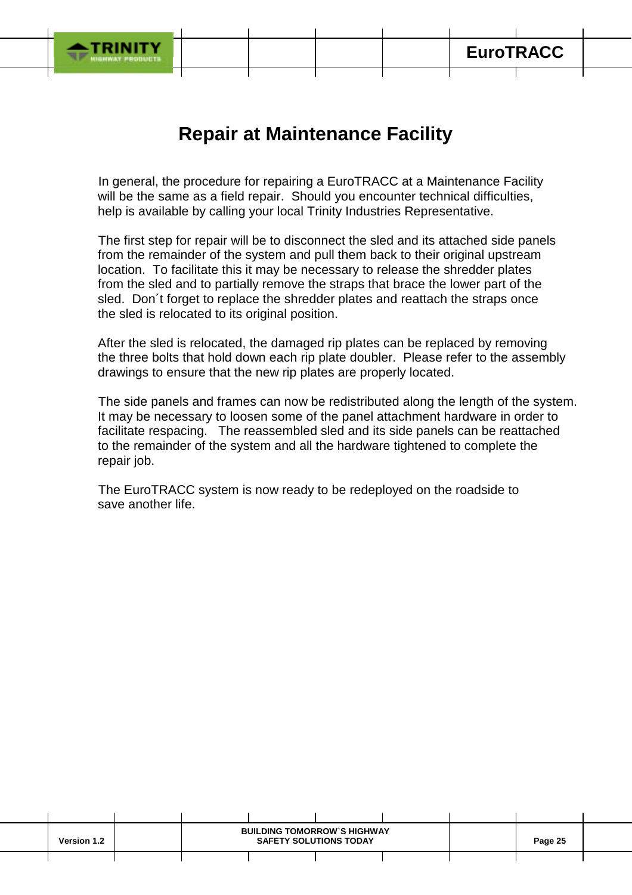

## **Repair at Maintenance Facility**

 In general, the procedure for repairing a EuroTRACC at a Maintenance Facility will be the same as a field repair. Should you encounter technical difficulties, help is available by calling your local Trinity Industries Representative.

 The first step for repair will be to disconnect the sled and its attached side panels from the remainder of the system and pull them back to their original upstream location. To facilitate this it may be necessary to release the shredder plates from the sled and to partially remove the straps that brace the lower part of the sled. Don´t forget to replace the shredder plates and reattach the straps once the sled is relocated to its original position.

After the sled is relocated, the damaged rip plates can be replaced by removing the three bolts that hold down each rip plate doubler. Please refer to the assembly drawings to ensure that the new rip plates are properly located.

 The side panels and frames can now be redistributed along the length of the system. It may be necessary to loosen some of the panel attachment hardware in order to facilitate respacing. The reassembled sled and its side panels can be reattached to the remainder of the system and all the hardware tightened to complete the repair job.

 The EuroTRACC system is now ready to be redeployed on the roadside to save another life.

| <b>Version 1.2</b> |  | <b>BUILDING TOMORROW'S HIGHWAY</b><br><b>SAFETY SOLUTIONS TODAY</b> |  | Page 25 |  |
|--------------------|--|---------------------------------------------------------------------|--|---------|--|
|                    |  |                                                                     |  |         |  |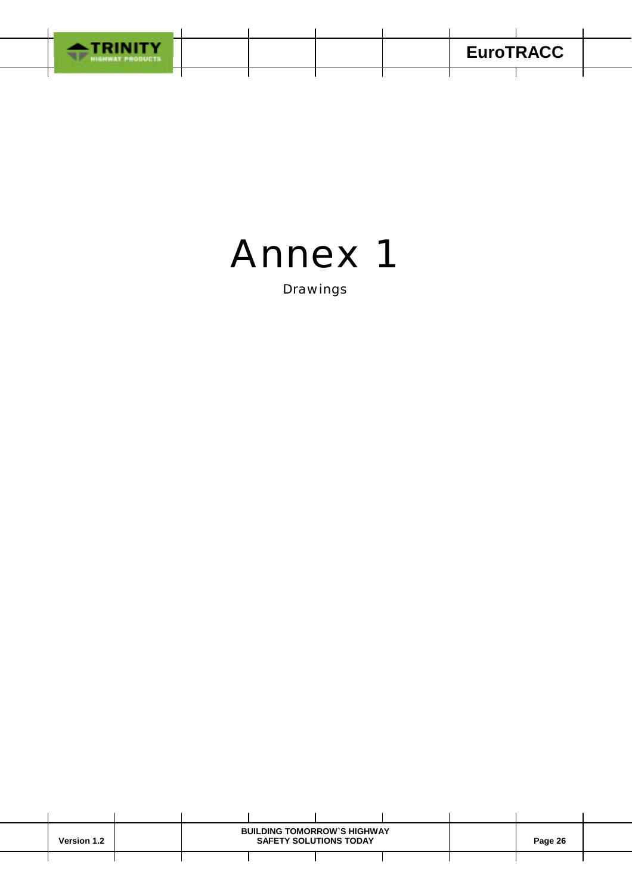



Drawings

| <b>Version 1.2</b> | <b>BUILDING TOMORROW'S HIGHWAY</b><br><b>SAFETY SOLUTIONS TODAY</b> |  |  |  | Page 26 |  |
|--------------------|---------------------------------------------------------------------|--|--|--|---------|--|
|                    |                                                                     |  |  |  |         |  |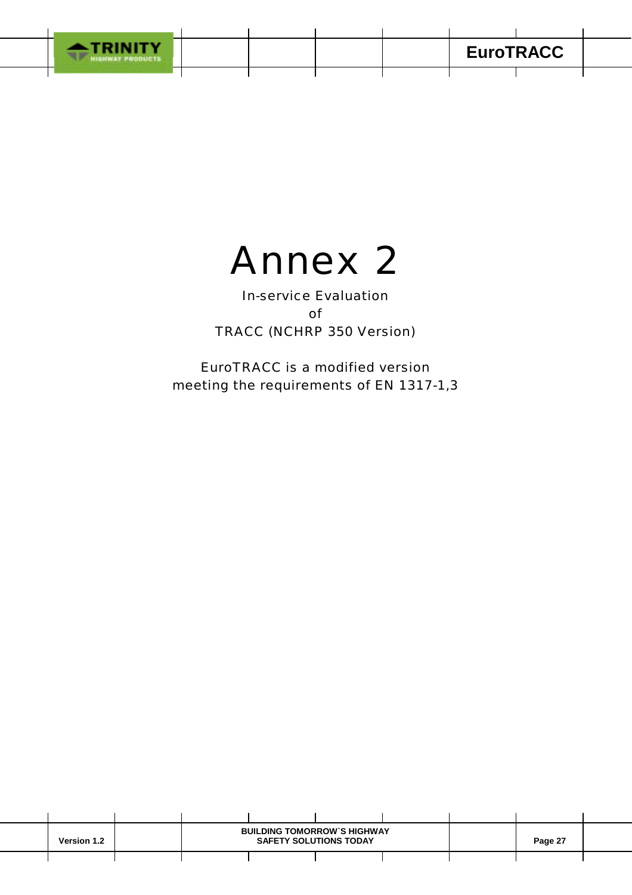



In-service Evaluation of TRACC (NCHRP 350 Version)

EuroTRACC is a modified version meeting the requirements of EN 1317-1,3

| <b>Version 1.2</b> | <b>BUILDING TOMORROW'S HIGHWAY</b> | Page 27 |  |  |  |
|--------------------|------------------------------------|---------|--|--|--|
|                    |                                    |         |  |  |  |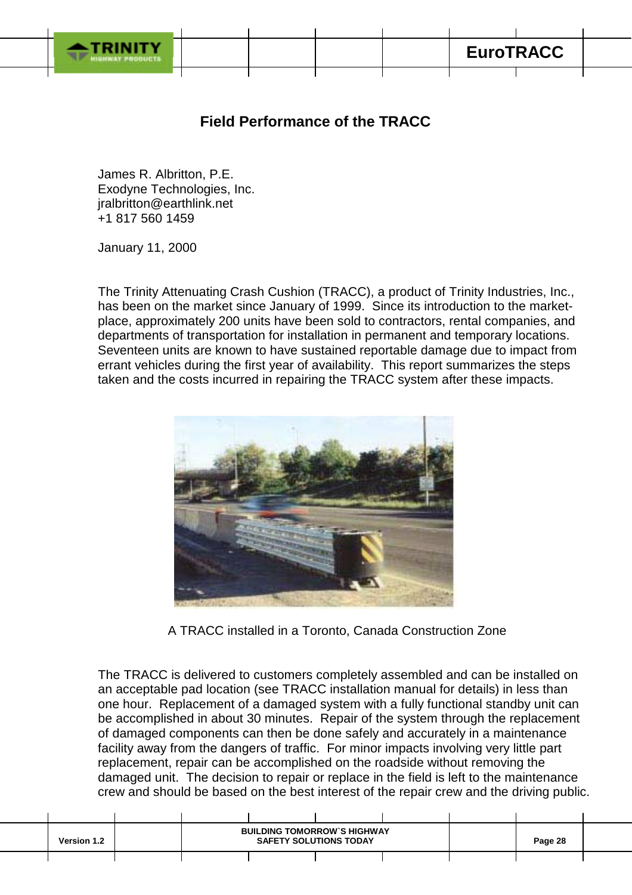## **Field Performance of the TRACC**

James R. Albritton, P.E. Exodyne Technologies, Inc. jralbritton@earthlink.net +1 817 560 1459

January 11, 2000

The Trinity Attenuating Crash Cushion (TRACC), a product of Trinity Industries, Inc., has been on the market since January of 1999. Since its introduction to the marketplace, approximately 200 units have been sold to contractors, rental companies, and departments of transportation for installation in permanent and temporary locations. Seventeen units are known to have sustained reportable damage due to impact from errant vehicles during the first year of availability. This report summarizes the steps taken and the costs incurred in repairing the TRACC system after these impacts.



A TRACC installed in a Toronto, Canada Construction Zone

The TRACC is delivered to customers completely assembled and can be installed on an acceptable pad location (see TRACC installation manual for details) in less than one hour. Replacement of a damaged system with a fully functional standby unit can be accomplished in about 30 minutes. Repair of the system through the replacement of damaged components can then be done safely and accurately in a maintenance facility away from the dangers of traffic. For minor impacts involving very little part replacement, repair can be accomplished on the roadside without removing the damaged unit. The decision to repair or replace in the field is left to the maintenance crew and should be based on the best interest of the repair crew and the driving public.

| <b>Version 1.2</b> |  | <b>BUILDING TOMORROW'S HIGHWAY</b><br><b>SAFETY SOLUTIONS TODAY</b> |  | Page 28 |  |
|--------------------|--|---------------------------------------------------------------------|--|---------|--|
|                    |  |                                                                     |  |         |  |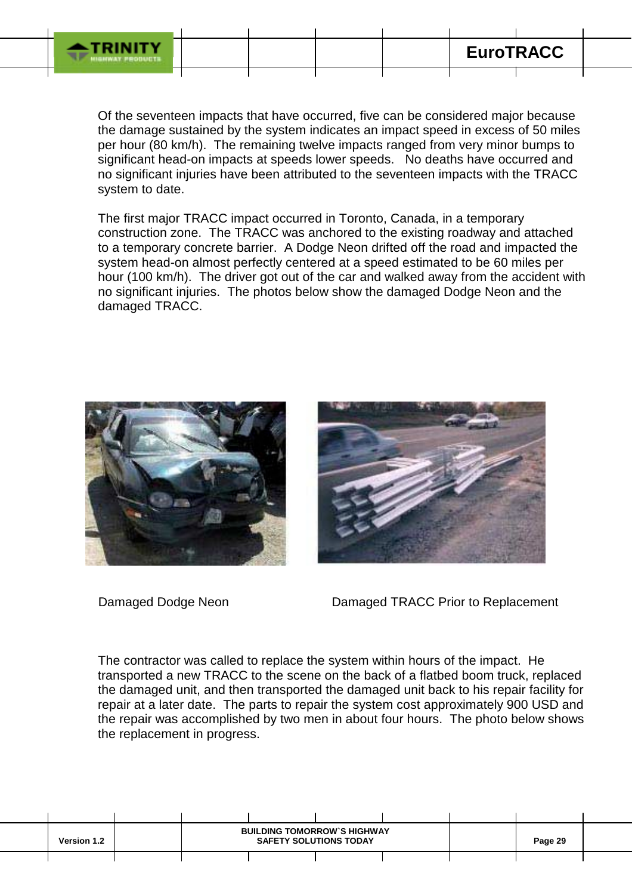

ī

Of the seventeen impacts that have occurred, five can be considered major because the damage sustained by the system indicates an impact speed in excess of 50 miles per hour (80 km/h). The remaining twelve impacts ranged from very minor bumps to significant head-on impacts at speeds lower speeds. No deaths have occurred and no significant injuries have been attributed to the seventeen impacts with the TRACC system to date.

The first major TRACC impact occurred in Toronto, Canada, in a temporary construction zone. The TRACC was anchored to the existing roadway and attached to a temporary concrete barrier. A Dodge Neon drifted off the road and impacted the system head-on almost perfectly centered at a speed estimated to be 60 miles per hour (100 km/h). The driver got out of the car and walked away from the accident with no significant injuries. The photos below show the damaged Dodge Neon and the damaged TRACC.





Damaged Dodge Neon Damaged TRACC Prior to Replacement

The contractor was called to replace the system within hours of the impact. He transported a new TRACC to the scene on the back of a flatbed boom truck, replaced the damaged unit, and then transported the damaged unit back to his repair facility for repair at a later date. The parts to repair the system cost approximately 900 USD and the repair was accomplished by two men in about four hours. The photo below shows the replacement in progress.

| <b>Version 1.2</b> |  | <b>BUILDING TOMORROW'S HIGHWAY</b><br><b>SAFETY SOLUTIONS TODAY</b> | Page 29 |  |  |
|--------------------|--|---------------------------------------------------------------------|---------|--|--|
|                    |  |                                                                     |         |  |  |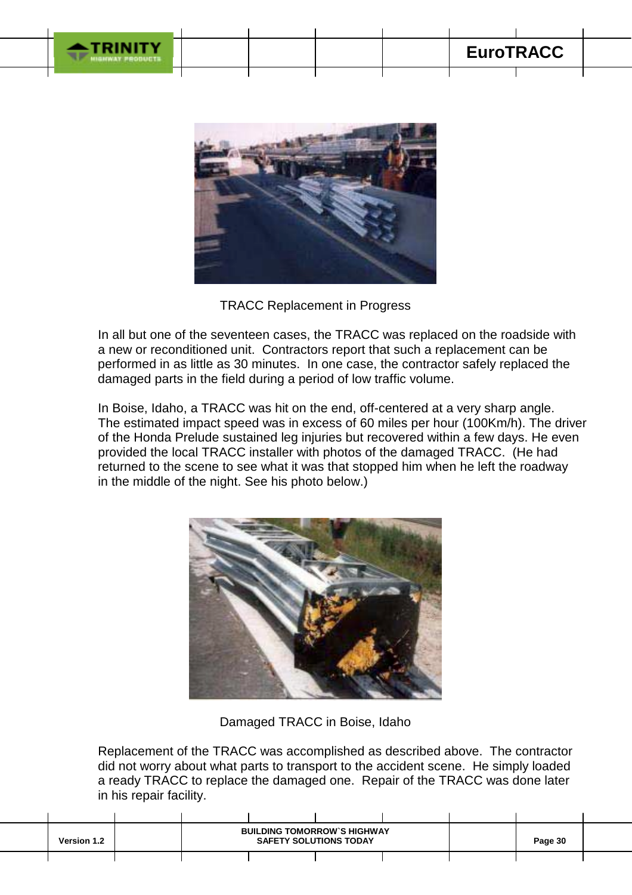



TRACC Replacement in Progress

In all but one of the seventeen cases, the TRACC was replaced on the roadside with a new or reconditioned unit. Contractors report that such a replacement can be performed in as little as 30 minutes. In one case, the contractor safely replaced the damaged parts in the field during a period of low traffic volume.

In Boise, Idaho, a TRACC was hit on the end, off-centered at a very sharp angle. The estimated impact speed was in excess of 60 miles per hour (100Km/h). The driver of the Honda Prelude sustained leg injuries but recovered within a few days. He even provided the local TRACC installer with photos of the damaged TRACC. (He had returned to the scene to see what it was that stopped him when he left the roadway in the middle of the night. See his photo below.)



Damaged TRACC in Boise, Idaho

Replacement of the TRACC was accomplished as described above. The contractor did not worry about what parts to transport to the accident scene. He simply loaded a ready TRACC to replace the damaged one. Repair of the TRACC was done later in his repair facility.

| <b>Version 1.2</b> |  | <b>BUILDING TOMORROW'S HIGHWAY</b><br><b>SAFETY SOLUTIONS TODAY</b> |  | Page 30 |  |
|--------------------|--|---------------------------------------------------------------------|--|---------|--|
|                    |  |                                                                     |  |         |  |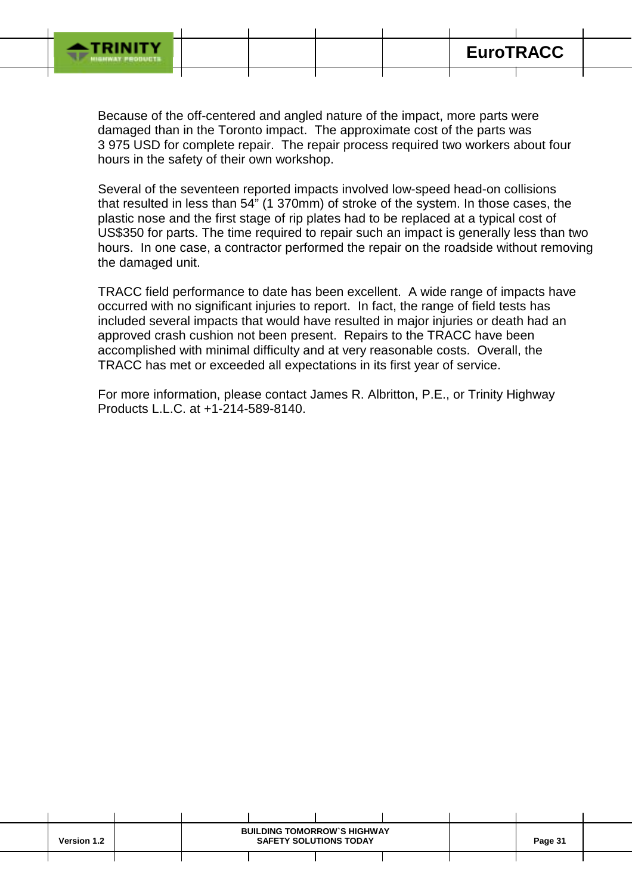

ī

Because of the off-centered and angled nature of the impact, more parts were damaged than in the Toronto impact. The approximate cost of the parts was 3 975 USD for complete repair. The repair process required two workers about four hours in the safety of their own workshop.

Several of the seventeen reported impacts involved low-speed head-on collisions that resulted in less than 54" (1 370mm) of stroke of the system. In those cases, the plastic nose and the first stage of rip plates had to be replaced at a typical cost of US\$350 for parts. The time required to repair such an impact is generally less than two hours. In one case, a contractor performed the repair on the roadside without removing the damaged unit.

TRACC field performance to date has been excellent. A wide range of impacts have occurred with no significant injuries to report. In fact, the range of field tests has included several impacts that would have resulted in major injuries or death had an approved crash cushion not been present. Repairs to the TRACC have been accomplished with minimal difficulty and at very reasonable costs. Overall, the TRACC has met or exceeded all expectations in its first year of service.

For more information, please contact James R. Albritton, P.E., or Trinity Highway Products L.L.C. at +1-214-589-8140.

| <b>Version 1.2</b> |  | <b>BUILDING TOMORROW'S HIGHWAY</b><br><b>SAFETY SOLUTIONS TODAY</b> |  | Page 31 |  |
|--------------------|--|---------------------------------------------------------------------|--|---------|--|
|                    |  |                                                                     |  |         |  |